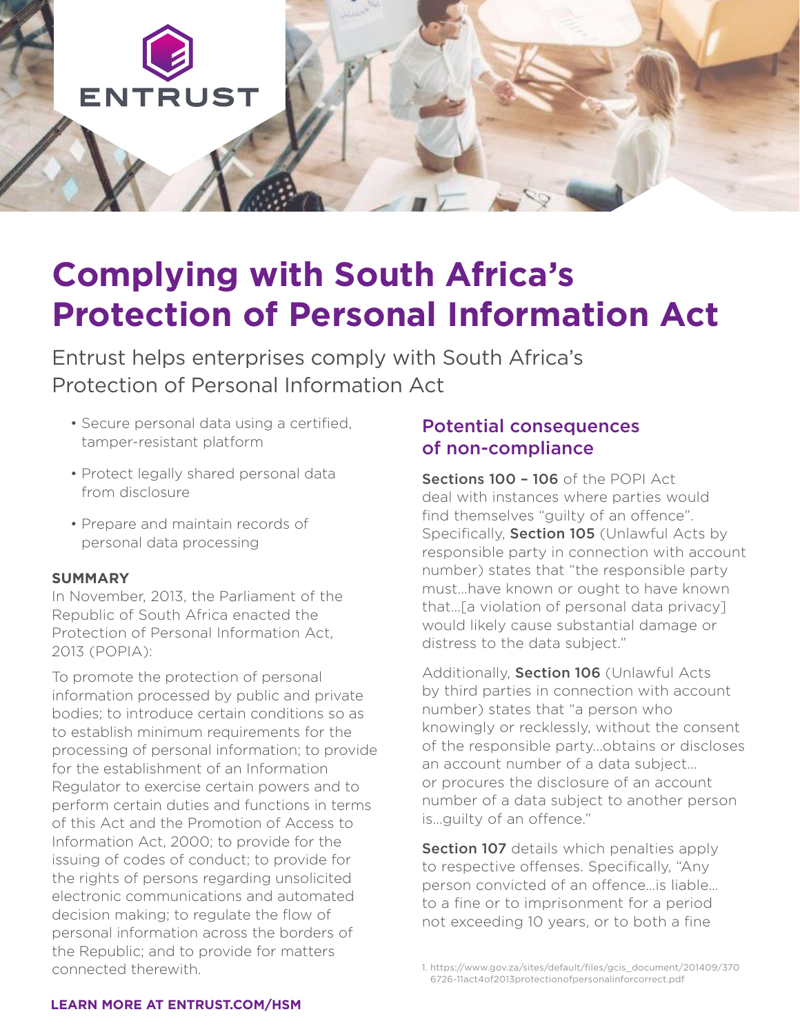

# **Complying with South Africa's Protection of Personal Information Act**

Entrust helps enterprises comply with South Africa's Protection of Personal Information Act

- Secure personal data using a certified, tamper-resistant platform
- Protect legally shared personal data from disclosure
- Prepare and maintain records of personal data processing

#### **SUMMARY**

In November, 2013, the Parliament of the Republic of South Africa enacted the Protection of Personal Information Act, 2013 (POPIA):

To promote the protection of personal information processed by public and private bodies; to introduce certain conditions so as to establish minimum requirements for the processing of personal information; to provide for the establishment of an Information Regulator to exercise certain powers and to perform certain duties and functions in terms of this Act and the Promotion of Access to Information Act, 2000; to provide for the issuing of codes of conduct; to provide for the rights of persons regarding unsolicited electronic communications and automated decision making; to regulate the flow of personal information across the borders of the Republic; and to provide for matters connected therewith.

### Potential consequences of non-compliance

Sections 100 - 106 of the POPI Act deal with instances where parties would find themselves "guilty of an offence". Specifically, Section 105 (Unlawful Acts by responsible party in connection with account number) states that "the responsible party must…have known or ought to have known that…[a violation of personal data privacy] would likely cause substantial damage or distress to the data subject."

Additionally, Section 106 (Unlawful Acts by third parties in connection with account number) states that "a person who knowingly or recklessly, without the consent of the responsible party...obtains or discloses an account number of a data subject… or procures the disclosure of an account number of a data subject to another person is…guilty of an offence."

**Section 107** details which penalties apply to respective offenses. Specifically, "Any person convicted of an offence…is liable… to a fine or to imprisonment for a period not exceeding 10 years, or to both a fine

#### **LEARN MORE AT ENTRUST.COM/HSM**

<sup>1.</sup> https://www.gov.za/sites/default/files/gcis\_document/201409/370 6726-11act4of2013protectionofpersonalinforcorrect.pdf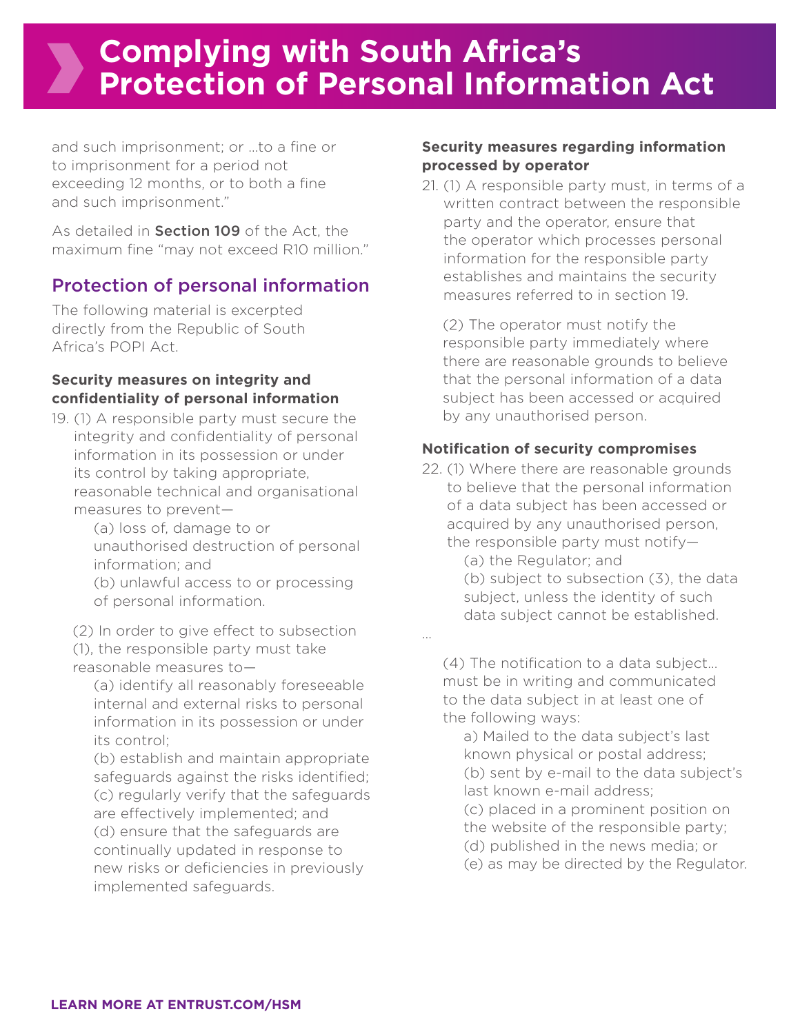## **Complying with South Africa's Protection of Personal Information Act**

…

and such imprisonment; or …to a fine or to imprisonment for a period not exceeding 12 months, or to both a fine and such imprisonment."

As detailed in **Section 109** of the Act, the maximum fine "may not exceed R10 million."

## Protection of personal information

The following material is excerpted directly from the Republic of South Africa's POPI Act.

#### **Security measures on integrity and confidentiality of personal information**

19. (1) A responsible party must secure the integrity and confidentiality of personal information in its possession or under its control by taking appropriate, reasonable technical and organisational measures to prevent—

 (a) loss of, damage to or unauthorised destruction of personal information; and

 (b) unlawful access to or processing of personal information.

 (2) In order to give effect to subsection (1), the responsible party must take reasonable measures to—

 (a) identify all reasonably foreseeable internal and external risks to personal

information in its possession or under its control;

 (b) establish and maintain appropriate safeguards against the risks identified; (c) regularly verify that the safeguards are effectively implemented; and (d) ensure that the safeguards are continually updated in response to new risks or deficiencies in previously implemented safeguards.

#### **Security measures regarding information processed by operator**

21. (1) A responsible party must, in terms of a written contract between the responsible party and the operator, ensure that the operator which processes personal information for the responsible party establishes and maintains the security measures referred to in section 19.

 (2) The operator must notify the responsible party immediately where there are reasonable grounds to believe that the personal information of a data subject has been accessed or acquired by any unauthorised person.

#### **Notification of security compromises**

22. (1) Where there are reasonable grounds to believe that the personal information of a data subject has been accessed or acquired by any unauthorised person, the responsible party must notify—

> (a) the Regulator; and (b) subject to subsection (3), the data subject, unless the identity of such data subject cannot be established.

 (4) The notification to a data subject… must be in writing and communicated to the data subject in at least one of the following ways:

 a) Mailed to the data subject's last known physical or postal address; (b) sent by e-mail to the data subject's last known e-mail address;

 (c) placed in a prominent position on the website of the responsible party;

(d) published in the news media; or

(e) as may be directed by the Regulator.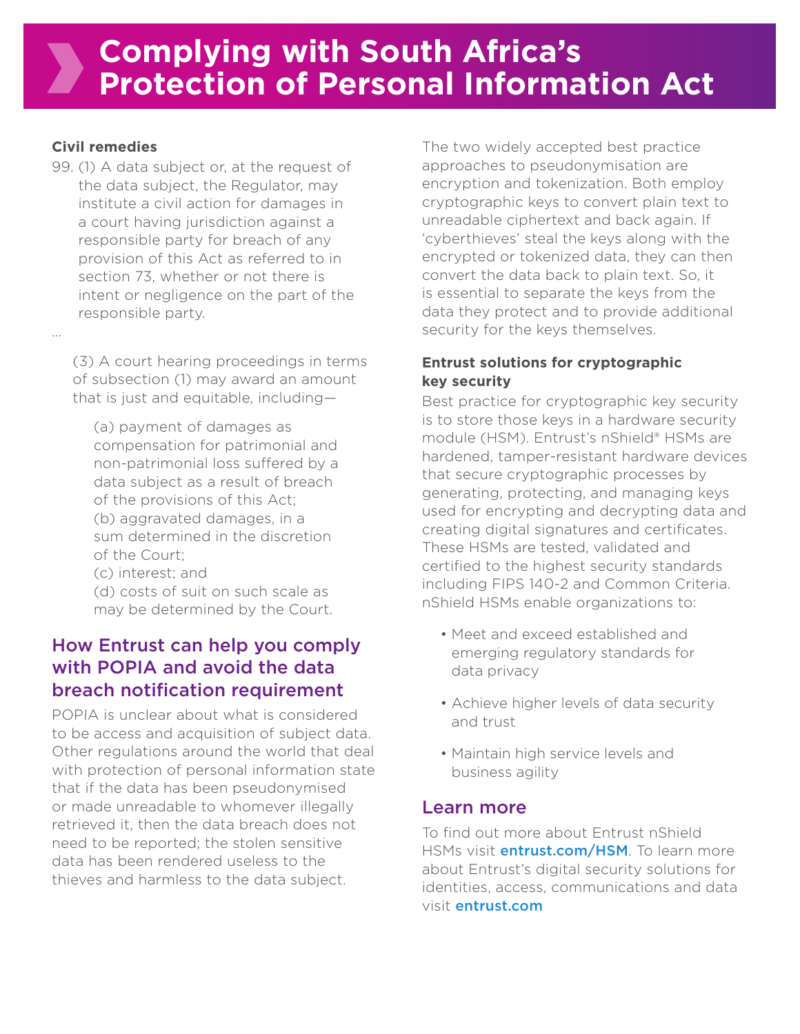#### **Civil remedies**

…

99. (1) A data subject or, at the request of the data subject, the Regulator, may institute a civil action for damages in a court having jurisdiction against a responsible party for breach of any provision of this Act as referred to in section 73, whether or not there is intent or negligence on the part of the responsible party.

 (3) A court hearing proceedings in terms of subsection (1) may award an amount that is just and equitable, including—

 (a) payment of damages as compensation for patrimonial and non-patrimonial loss suffered by a data subject as a result of breach of the provisions of this Act; (b) aggravated damages, in a sum determined in the discretion of the Court;

 (c) interest; and (d) costs of suit on such scale as may be determined by the Court.

## How Entrust can help you comply with POPIA and avoid the data breach notification requirement

POPIA is unclear about what is considered to be access and acquisition of subject data. Other regulations around the world that deal with protection of personal information state that if the data has been pseudonymised or made unreadable to whomever illegally retrieved it, then the data breach does not need to be reported; the stolen sensitive data has been rendered useless to the thieves and harmless to the data subject.

The two widely accepted best practice approaches to pseudonymisation are encryption and tokenization. Both employ cryptographic keys to convert plain text to unreadable ciphertext and back again. If 'cyberthieves' steal the keys along with the encrypted or tokenized data, they can then convert the data back to plain text. So, it is essential to separate the keys from the data they protect and to provide additional security for the keys themselves.

#### **Entrust solutions for cryptographic key security**

Best practice for cryptographic key security is to store those keys in a hardware security module (HSM). Entrust's nShield® HSMs are hardened, tamper-resistant hardware devices that secure cryptographic processes by generating, protecting, and managing keys used for encrypting and decrypting data and creating digital signatures and certificates. These HSMs are tested, validated and certified to the highest security standards including FIPS 140-2 and Common Criteria. nShield HSMs enable organizations to:

- Meet and exceed established and emerging regulatory standards for data privacy
- Achieve higher levels of data security and trust
- Maintain high service levels and business agility

#### Learn more

To find out more about Entrust nShield HSMs visit **entrust.com/HSM**. To learn more about Entrust's digital security solutions for identities, access, communications and data visit entrust.com